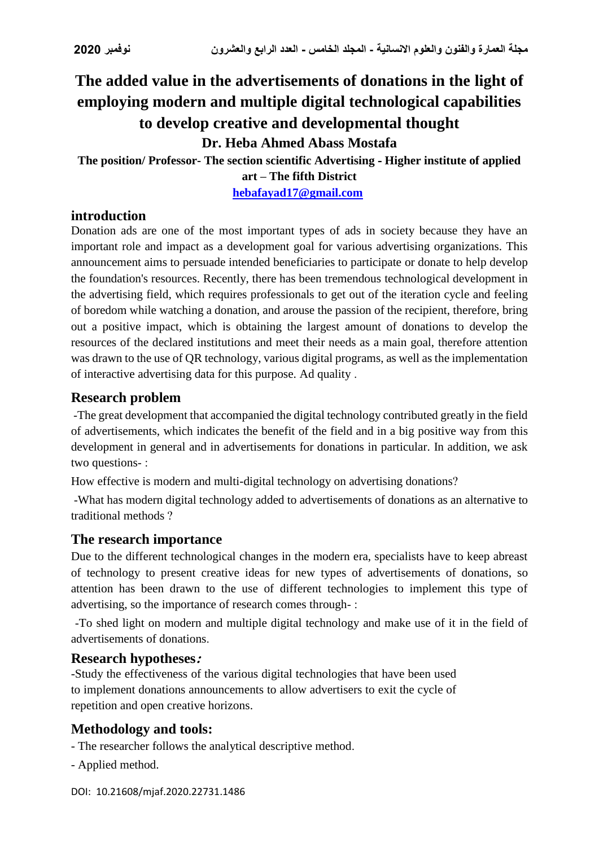# **The added value in the advertisements of donations in the light of employing modern and multiple digital technological capabilities to develop creative and developmental thought**

**Dr. Heba Ahmed Abass Mostafa**

**The position/ Professor- The section scientific Advertising - Higher institute of applied art – The fifth District**

**[hebafayad17@gmail.com](mailto:hebafayad17@gmail.com)**

# **introduction**

Donation ads are one of the most important types of ads in society because they have an important role and impact as a development goal for various advertising organizations. This announcement aims to persuade intended beneficiaries to participate or donate to help develop the foundation's resources. Recently, there has been tremendous technological development in the advertising field, which requires professionals to get out of the iteration cycle and feeling of boredom while watching a donation, and arouse the passion of the recipient, therefore, bring out a positive impact, which is obtaining the largest amount of donations to develop the resources of the declared institutions and meet their needs as a main goal, therefore attention was drawn to the use of QR technology, various digital programs, as well as the implementation of interactive advertising data for this purpose. Ad quality .

# **Research problem**

-The great development that accompanied the digital technology contributed greatly in the field of advertisements, which indicates the benefit of the field and in a big positive way from this development in general and in advertisements for donations in particular. In addition, we ask two questions- :

How effective is modern and multi-digital technology on advertising donations?

-What has modern digital technology added to advertisements of donations as an alternative to traditional methods ?

# **The research importance**

Due to the different technological changes in the modern era, specialists have to keep abreast of technology to present creative ideas for new types of advertisements of donations, so attention has been drawn to the use of different technologies to implement this type of advertising, so the importance of research comes through- :

-To shed light on modern and multiple digital technology and make use of it in the field of advertisements of donations.

### **Research hypotheses:**

-Study the effectiveness of the various digital technologies that have been used to implement donations announcements to allow advertisers to exit the cycle of repetition and open creative horizons.

# **Methodology and tools:**

- The researcher follows the analytical descriptive method.
- Applied method.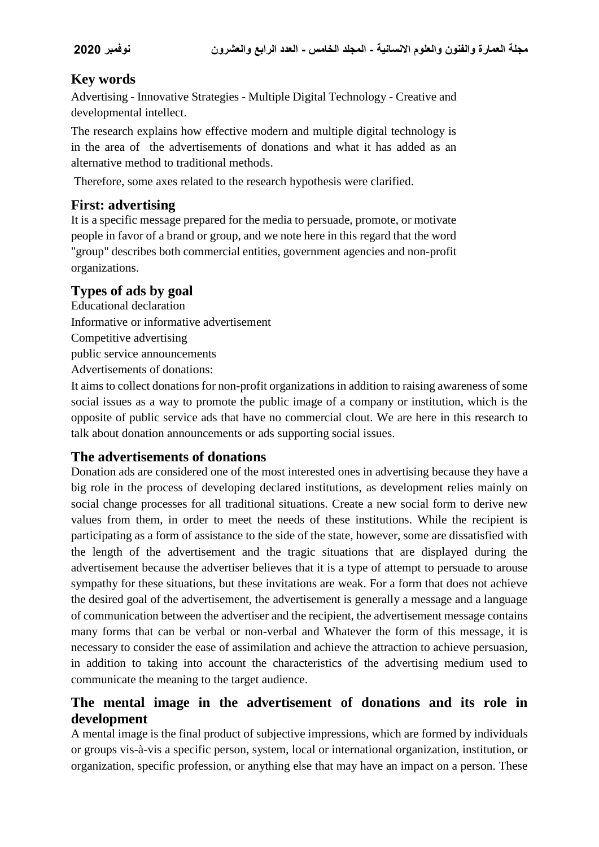# **Key words**

Advertising - Innovative Strategies - Multiple Digital Technology - Creative and developmental intellect.

The research explains how effective modern and multiple digital technology is in the area of the advertisements of donations and what it has added as an alternative method to traditional methods.

Therefore, some axes related to the research hypothesis were clarified.

# **First: advertising**

It is a specific message prepared for the media to persuade, promote, or motivate people in favor of a brand or group, and we note here in this regard that the word "group" describes both commercial entities, government agencies and non-profit organizations.

# **Types of ads by goal**

Educational declaration Informative or informative advertisement Competitive advertising public service announcements Advertisements of donations:

It aims to collect donations for non-profit organizations in addition to raising awareness of some social issues as a way to promote the public image of a company or institution, which is the opposite of public service ads that have no commercial clout. We are here in this research to talk about donation announcements or ads supporting social issues.

# **The advertisements of donations**

Donation ads are considered one of the most interested ones in advertising because they have a big role in the process of developing declared institutions, as development relies mainly on social change processes for all traditional situations. Create a new social form to derive new values from them, in order to meet the needs of these institutions. While the recipient is participating as a form of assistance to the side of the state, however, some are dissatisfied with the length of the advertisement and the tragic situations that are displayed during the advertisement because the advertiser believes that it is a type of attempt to persuade to arouse sympathy for these situations, but these invitations are weak. For a form that does not achieve the desired goal of the advertisement, the advertisement is generally a message and a language of communication between the advertiser and the recipient, the advertisement message contains many forms that can be verbal or non-verbal and Whatever the form of this message, it is necessary to consider the ease of assimilation and achieve the attraction to achieve persuasion, in addition to taking into account the characteristics of the advertising medium used to communicate the meaning to the target audience.

# **The mental image in the advertisement of donations and its role in development**

A mental image is the final product of subjective impressions, which are formed by individuals or groups vis-à-vis a specific person, system, local or international organization, institution, or organization, specific profession, or anything else that may have an impact on a person. These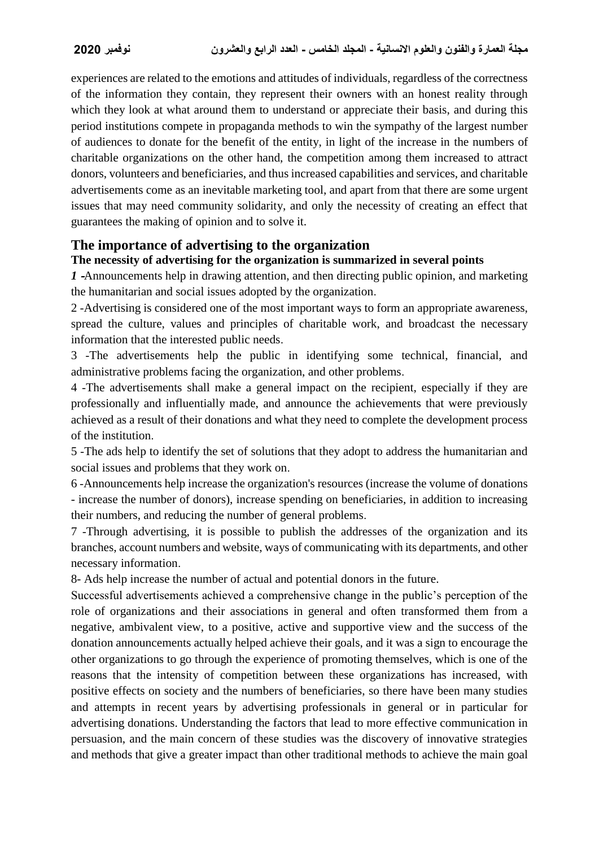experiences are related to the emotions and attitudes of individuals, regardless of the correctness of the information they contain, they represent their owners with an honest reality through which they look at what around them to understand or appreciate their basis, and during this period institutions compete in propaganda methods to win the sympathy of the largest number of audiences to donate for the benefit of the entity, in light of the increase in the numbers of charitable organizations on the other hand, the competition among them increased to attract donors, volunteers and beneficiaries, and thus increased capabilities and services, and charitable advertisements come as an inevitable marketing tool, and apart from that there are some urgent issues that may need community solidarity, and only the necessity of creating an effect that guarantees the making of opinion and to solve it.

### **The importance of advertising to the organization**

### **The necessity of advertising for the organization is summarized in several points**

*1* **-**Announcements help in drawing attention, and then directing public opinion, and marketing the humanitarian and social issues adopted by the organization.

2 -Advertising is considered one of the most important ways to form an appropriate awareness, spread the culture, values and principles of charitable work, and broadcast the necessary information that the interested public needs.

3 -The advertisements help the public in identifying some technical, financial, and administrative problems facing the organization, and other problems.

4 -The advertisements shall make a general impact on the recipient, especially if they are professionally and influentially made, and announce the achievements that were previously achieved as a result of their donations and what they need to complete the development process of the institution.

5 -The ads help to identify the set of solutions that they adopt to address the humanitarian and social issues and problems that they work on.

6 -Announcements help increase the organization's resources (increase the volume of donations - increase the number of donors), increase spending on beneficiaries, in addition to increasing their numbers, and reducing the number of general problems.

7 -Through advertising, it is possible to publish the addresses of the organization and its branches, account numbers and website, ways of communicating with its departments, and other necessary information.

8- Ads help increase the number of actual and potential donors in the future.

Successful advertisements achieved a comprehensive change in the public's perception of the role of organizations and their associations in general and often transformed them from a negative, ambivalent view, to a positive, active and supportive view and the success of the donation announcements actually helped achieve their goals, and it was a sign to encourage the other organizations to go through the experience of promoting themselves, which is one of the reasons that the intensity of competition between these organizations has increased, with positive effects on society and the numbers of beneficiaries, so there have been many studies and attempts in recent years by advertising professionals in general or in particular for advertising donations. Understanding the factors that lead to more effective communication in persuasion, and the main concern of these studies was the discovery of innovative strategies and methods that give a greater impact than other traditional methods to achieve the main goal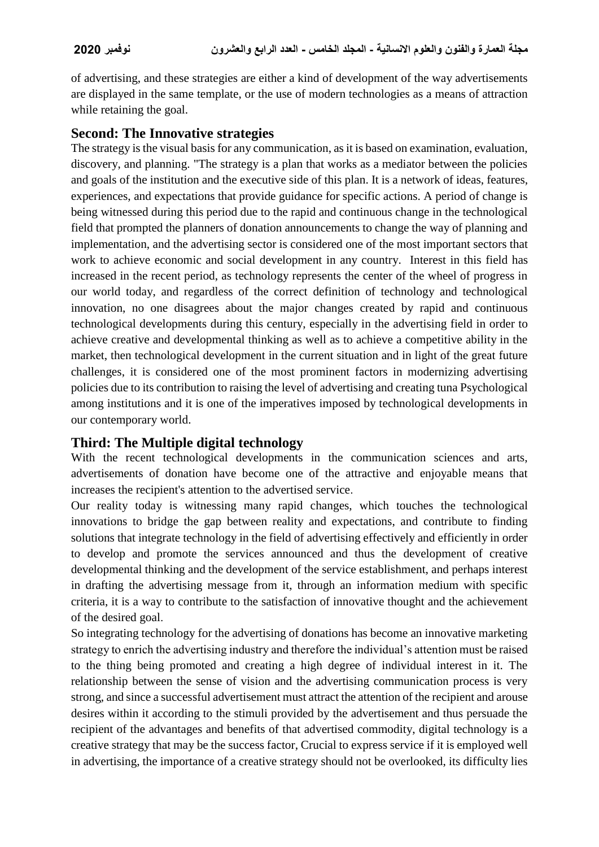of advertising, and these strategies are either a kind of development of the way advertisements are displayed in the same template, or the use of modern technologies as a means of attraction while retaining the goal.

### **Second: The Innovative strategies**

The strategy is the visual basis for any communication, as it is based on examination, evaluation, discovery, and planning. "The strategy is a plan that works as a mediator between the policies and goals of the institution and the executive side of this plan. It is a network of ideas, features, experiences, and expectations that provide guidance for specific actions. A period of change is being witnessed during this period due to the rapid and continuous change in the technological field that prompted the planners of donation announcements to change the way of planning and implementation, and the advertising sector is considered one of the most important sectors that work to achieve economic and social development in any country. Interest in this field has increased in the recent period, as technology represents the center of the wheel of progress in our world today, and regardless of the correct definition of technology and technological innovation, no one disagrees about the major changes created by rapid and continuous technological developments during this century, especially in the advertising field in order to achieve creative and developmental thinking as well as to achieve a competitive ability in the market, then technological development in the current situation and in light of the great future challenges, it is considered one of the most prominent factors in modernizing advertising policies due to its contribution to raising the level of advertising and creating tuna Psychological among institutions and it is one of the imperatives imposed by technological developments in our contemporary world.

### **Third: The Multiple digital technology**

With the recent technological developments in the communication sciences and arts, advertisements of donation have become one of the attractive and enjoyable means that increases the recipient's attention to the advertised service.

Our reality today is witnessing many rapid changes, which touches the technological innovations to bridge the gap between reality and expectations, and contribute to finding solutions that integrate technology in the field of advertising effectively and efficiently in order to develop and promote the services announced and thus the development of creative developmental thinking and the development of the service establishment, and perhaps interest in drafting the advertising message from it, through an information medium with specific criteria, it is a way to contribute to the satisfaction of innovative thought and the achievement of the desired goal.

So integrating technology for the advertising of donations has become an innovative marketing strategy to enrich the advertising industry and therefore the individual's attention must be raised to the thing being promoted and creating a high degree of individual interest in it. The relationship between the sense of vision and the advertising communication process is very strong, and since a successful advertisement must attract the attention of the recipient and arouse desires within it according to the stimuli provided by the advertisement and thus persuade the recipient of the advantages and benefits of that advertised commodity, digital technology is a creative strategy that may be the success factor, Crucial to express service if it is employed well in advertising, the importance of a creative strategy should not be overlooked, its difficulty lies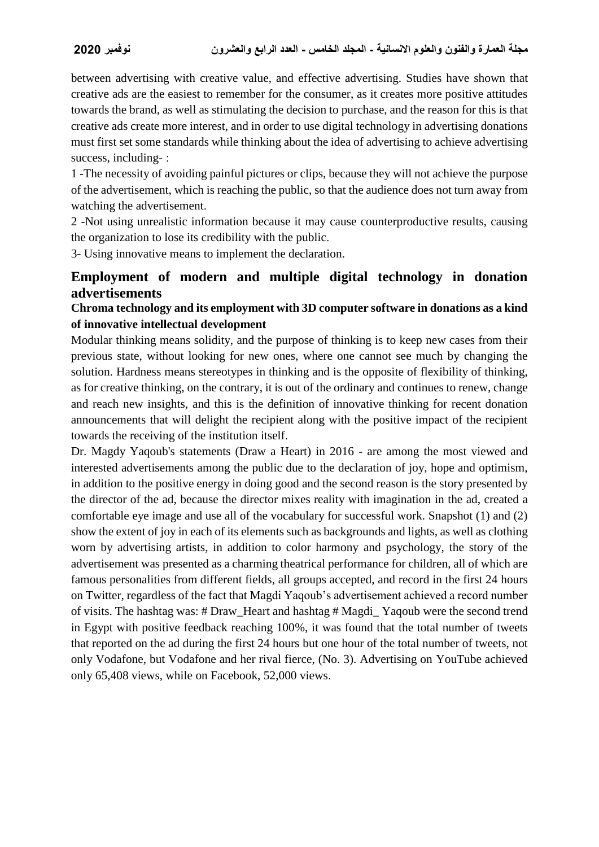between advertising with creative value, and effective advertising. Studies have shown that creative ads are the easiest to remember for the consumer, as it creates more positive attitudes towards the brand, as well as stimulating the decision to purchase, and the reason for this is that creative ads create more interest, and in order to use digital technology in advertising donations must first set some standards while thinking about the idea of advertising to achieve advertising success, including- :

1 -The necessity of avoiding painful pictures or clips, because they will not achieve the purpose of the advertisement, which is reaching the public, so that the audience does not turn away from watching the advertisement.

2 -Not using unrealistic information because it may cause counterproductive results, causing the organization to lose its credibility with the public.

3- Using innovative means to implement the declaration.

# **Employment of modern and multiple digital technology in donation advertisements**

### **Chroma technology and its employment with 3D computer software in donations as a kind of innovative intellectual development**

Modular thinking means solidity, and the purpose of thinking is to keep new cases from their previous state, without looking for new ones, where one cannot see much by changing the solution. Hardness means stereotypes in thinking and is the opposite of flexibility of thinking, as for creative thinking, on the contrary, it is out of the ordinary and continues to renew, change and reach new insights, and this is the definition of innovative thinking for recent donation announcements that will delight the recipient along with the positive impact of the recipient towards the receiving of the institution itself.

Dr. Magdy Yaqoub's statements (Draw a Heart) in 2016 - are among the most viewed and interested advertisements among the public due to the declaration of joy, hope and optimism, in addition to the positive energy in doing good and the second reason is the story presented by the director of the ad, because the director mixes reality with imagination in the ad, created a comfortable eye image and use all of the vocabulary for successful work. Snapshot (1) and (2) show the extent of joy in each of its elements such as backgrounds and lights, as well as clothing worn by advertising artists, in addition to color harmony and psychology, the story of the advertisement was presented as a charming theatrical performance for children, all of which are famous personalities from different fields, all groups accepted, and record in the first 24 hours on Twitter, regardless of the fact that Magdi Yaqoub's advertisement achieved a record number of visits. The hashtag was: # Draw\_Heart and hashtag # Magdi\_ Yaqoub were the second trend in Egypt with positive feedback reaching 100%, it was found that the total number of tweets that reported on the ad during the first 24 hours but one hour of the total number of tweets, not only Vodafone, but Vodafone and her rival fierce, (No. 3). Advertising on YouTube achieved only 65,408 views, while on Facebook, 52,000 views.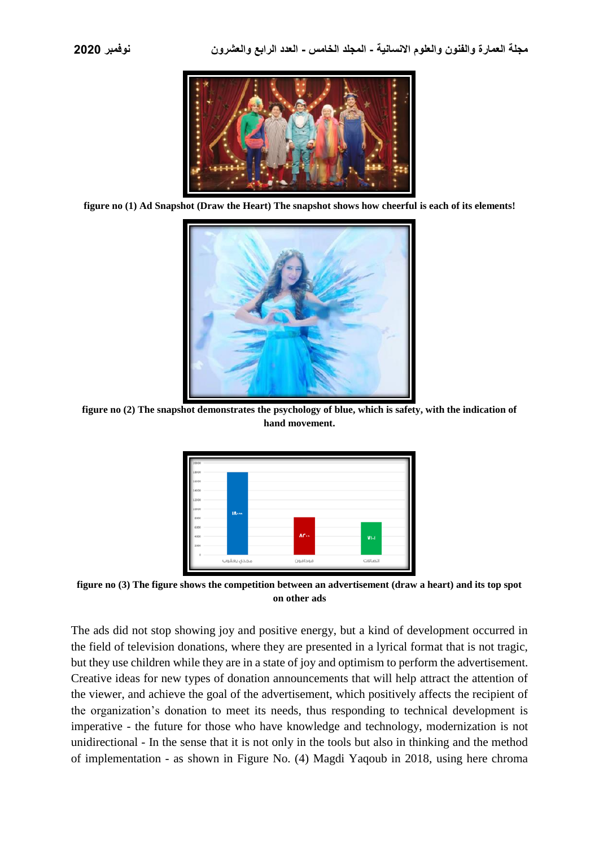

**figure no (1) Ad Snapshot (Draw the Heart) The snapshot shows how cheerful is each of its elements!**



**figure no (2) The snapshot demonstrates the psychology of blue, which is safety, with the indication of hand movement.**



**figure no (3) The figure shows the competition between an advertisement (draw a heart) and its top spot on other ads**

The ads did not stop showing joy and positive energy, but a kind of development occurred in the field of television donations, where they are presented in a lyrical format that is not tragic, but they use children while they are in a state of joy and optimism to perform the advertisement. Creative ideas for new types of donation announcements that will help attract the attention of the viewer, and achieve the goal of the advertisement, which positively affects the recipient of the organization's donation to meet its needs, thus responding to technical development is imperative - the future for those who have knowledge and technology, modernization is not unidirectional - In the sense that it is not only in the tools but also in thinking and the method of implementation - as shown in Figure No. (4) Magdi Yaqoub in 2018, using here chroma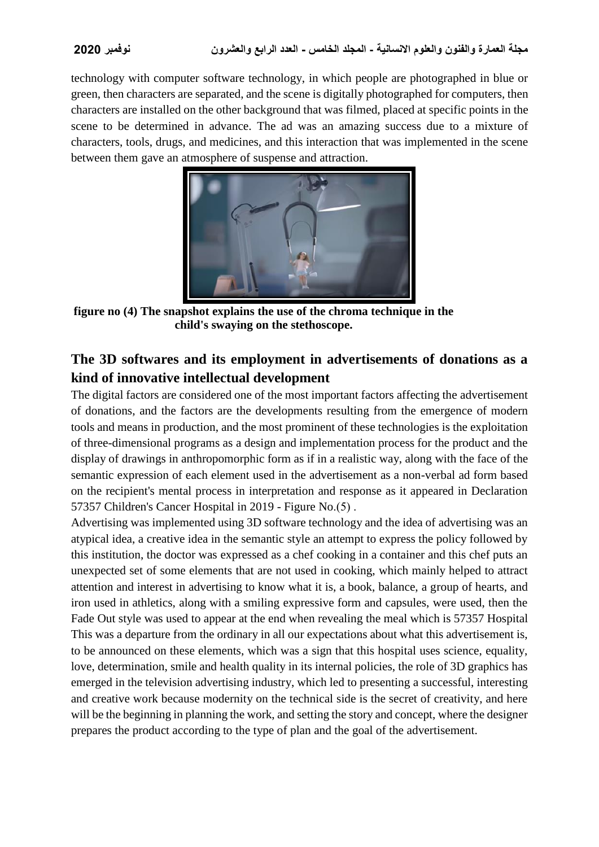technology with computer software technology, in which people are photographed in blue or green, then characters are separated, and the scene is digitally photographed for computers, then characters are installed on the other background that was filmed, placed at specific points in the scene to be determined in advance. The ad was an amazing success due to a mixture of characters, tools, drugs, and medicines, and this interaction that was implemented in the scene between them gave an atmosphere of suspense and attraction.



**figure no (4) The snapshot explains the use of the chroma technique in the child's swaying on the stethoscope.**

# **The 3D softwares and its employment in advertisements of donations as a kind of innovative intellectual development**

The digital factors are considered one of the most important factors affecting the advertisement of donations, and the factors are the developments resulting from the emergence of modern tools and means in production, and the most prominent of these technologies is the exploitation of three-dimensional programs as a design and implementation process for the product and the display of drawings in anthropomorphic form as if in a realistic way, along with the face of the semantic expression of each element used in the advertisement as a non-verbal ad form based on the recipient's mental process in interpretation and response as it appeared in Declaration 57357 Children's Cancer Hospital in  $2019$  - Figure No.(5).

Advertising was implemented using 3D software technology and the idea of advertising was an atypical idea, a creative idea in the semantic style an attempt to express the policy followed by this institution, the doctor was expressed as a chef cooking in a container and this chef puts an unexpected set of some elements that are not used in cooking, which mainly helped to attract attention and interest in advertising to know what it is, a book, balance, a group of hearts, and iron used in athletics, along with a smiling expressive form and capsules, were used, then the Fade Out style was used to appear at the end when revealing the meal which is 57357 Hospital This was a departure from the ordinary in all our expectations about what this advertisement is, to be announced on these elements, which was a sign that this hospital uses science, equality, love, determination, smile and health quality in its internal policies, the role of 3D graphics has emerged in the television advertising industry, which led to presenting a successful, interesting and creative work because modernity on the technical side is the secret of creativity, and here will be the beginning in planning the work, and setting the story and concept, where the designer prepares the product according to the type of plan and the goal of the advertisement.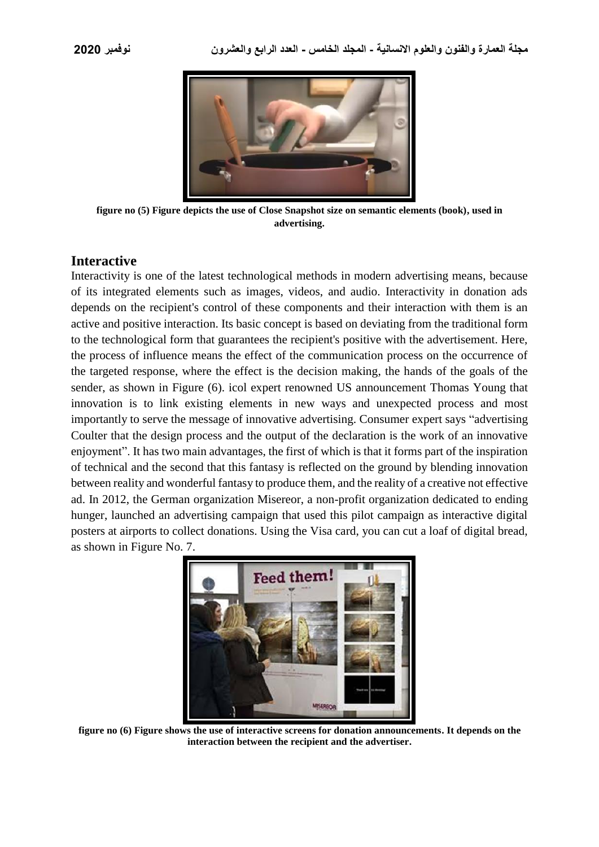

**figure no (5) Figure depicts the use of Close Snapshot size on semantic elements (book), used in advertising.**

### **Interactive**

Interactivity is one of the latest technological methods in modern advertising means, because of its integrated elements such as images, videos, and audio. Interactivity in donation ads depends on the recipient's control of these components and their interaction with them is an active and positive interaction. Its basic concept is based on deviating from the traditional form to the technological form that guarantees the recipient's positive with the advertisement. Here, the process of influence means the effect of the communication process on the occurrence of the targeted response, where the effect is the decision making, the hands of the goals of the sender, as shown in Figure (6). icol expert renowned US announcement Thomas Young that innovation is to link existing elements in new ways and unexpected process and most importantly to serve the message of innovative advertising. Consumer expert says "advertising Coulter that the design process and the output of the declaration is the work of an innovative enjoyment". It has two main advantages, the first of which is that it forms part of the inspiration of technical and the second that this fantasy is reflected on the ground by blending innovation between reality and wonderful fantasy to produce them, and the reality of a creative not effective ad. In 2012, the German organization Misereor, a non-profit organization dedicated to ending hunger, launched an advertising campaign that used this pilot campaign as interactive digital posters at airports to collect donations. Using the Visa card, you can cut a loaf of digital bread, as shown in Figure No. 7.



**figure no (6) Figure shows the use of interactive screens for donation announcements. It depends on the interaction between the recipient and the advertiser.**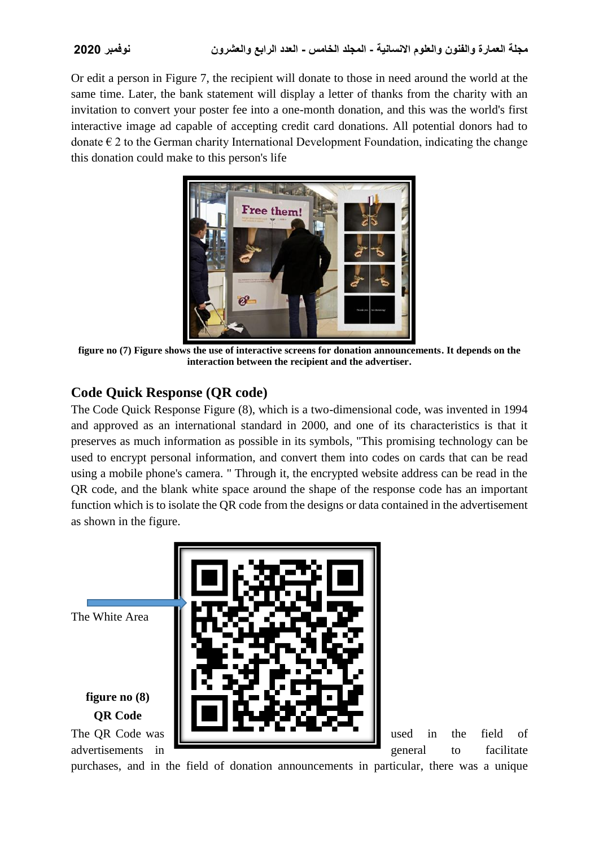Or edit a person in Figure 7, the recipient will donate to those in need around the world at the same time. Later, the bank statement will display a letter of thanks from the charity with an invitation to convert your poster fee into a one-month donation, and this was the world's first interactive image ad capable of accepting credit card donations. All potential donors had to donate  $\epsilon$  2 to the German charity International Development Foundation, indicating the change this donation could make to this person's life



**figure no (7) Figure shows the use of interactive screens for donation announcements. It depends on the interaction between the recipient and the advertiser.**

# **Code Quick Response (QR code)**

The Code Quick Response Figure (8), which is a two-dimensional code, was invented in 1994 and approved as an international standard in 2000, and one of its characteristics is that it preserves as much information as possible in its symbols, "This promising technology can be used to encrypt personal information, and convert them into codes on cards that can be read using a mobile phone's camera. " Through it, the encrypted website address can be read in the QR code, and the blank white space around the shape of the response code has an important function which is to isolate the QR code from the designs or data contained in the advertisement as shown in the figure.

The White Area **figure no (8) QR Code** The QR Code was used in the field of advertisements in **general** to facilitate

purchases, and in the field of donation announcements in particular, there was a unique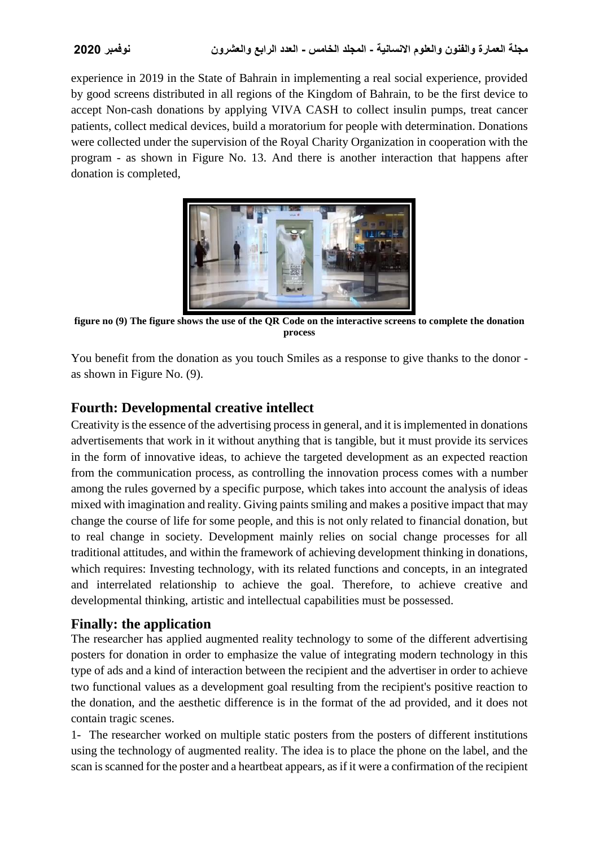experience in 2019 in the State of Bahrain in implementing a real social experience, provided by good screens distributed in all regions of the Kingdom of Bahrain, to be the first device to accept Non-cash donations by applying VIVA CASH to collect insulin pumps, treat cancer patients, collect medical devices, build a moratorium for people with determination. Donations were collected under the supervision of the Royal Charity Organization in cooperation with the program - as shown in Figure No. 13. And there is another interaction that happens after donation is completed,



**figure no (9) The figure shows the use of the QR Code on the interactive screens to complete the donation process**

You benefit from the donation as you touch Smiles as a response to give thanks to the donor as shown in Figure No. (9).

# **Fourth: Developmental creative intellect**

Creativity is the essence of the advertising process in general, and it is implemented in donations advertisements that work in it without anything that is tangible, but it must provide its services in the form of innovative ideas, to achieve the targeted development as an expected reaction from the communication process, as controlling the innovation process comes with a number among the rules governed by a specific purpose, which takes into account the analysis of ideas mixed with imagination and reality. Giving paints smiling and makes a positive impact that may change the course of life for some people, and this is not only related to financial donation, but to real change in society. Development mainly relies on social change processes for all traditional attitudes, and within the framework of achieving development thinking in donations, which requires: Investing technology, with its related functions and concepts, in an integrated and interrelated relationship to achieve the goal. Therefore, to achieve creative and developmental thinking, artistic and intellectual capabilities must be possessed.

# **Finally: the application**

The researcher has applied augmented reality technology to some of the different advertising posters for donation in order to emphasize the value of integrating modern technology in this type of ads and a kind of interaction between the recipient and the advertiser in order to achieve two functional values as a development goal resulting from the recipient's positive reaction to the donation, and the aesthetic difference is in the format of the ad provided, and it does not contain tragic scenes.

1- The researcher worked on multiple static posters from the posters of different institutions using the technology of augmented reality. The idea is to place the phone on the label, and the scan is scanned for the poster and a heartbeat appears, as if it were a confirmation of the recipient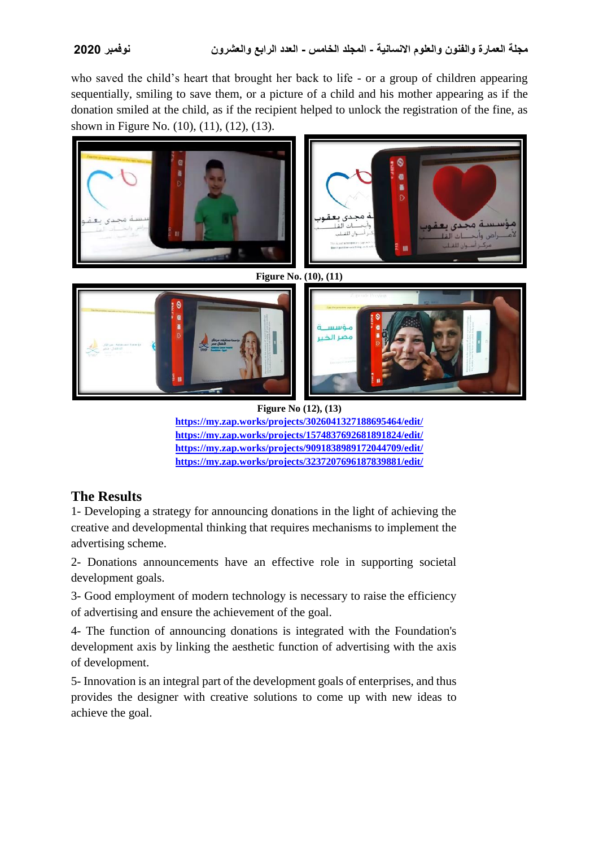who saved the child's heart that brought her back to life - or a group of children appearing sequentially, smiling to save them, or a picture of a child and his mother appearing as if the donation smiled at the child, as if the recipient helped to unlock the registration of the fine, as shown in Figure No. (10), (11), (12), (13).



**Figure No (12), (13) <https://my.zap.works/projects/3026041327188695464/edit/> <https://my.zap.works/projects/1574837692681891824/edit/> <https://my.zap.works/projects/9091838989172044709/edit/> <https://my.zap.works/projects/3237207696187839881/edit/>**

# **The Results**

1- Developing a strategy for announcing donations in the light of achieving the creative and developmental thinking that requires mechanisms to implement the advertising scheme.

2- Donations announcements have an effective role in supporting societal development goals.

3- Good employment of modern technology is necessary to raise the efficiency of advertising and ensure the achievement of the goal.

4- The function of announcing donations is integrated with the Foundation's development axis by linking the aesthetic function of advertising with the axis of development.

5- Innovation is an integral part of the development goals of enterprises, and thus provides the designer with creative solutions to come up with new ideas to achieve the goal.